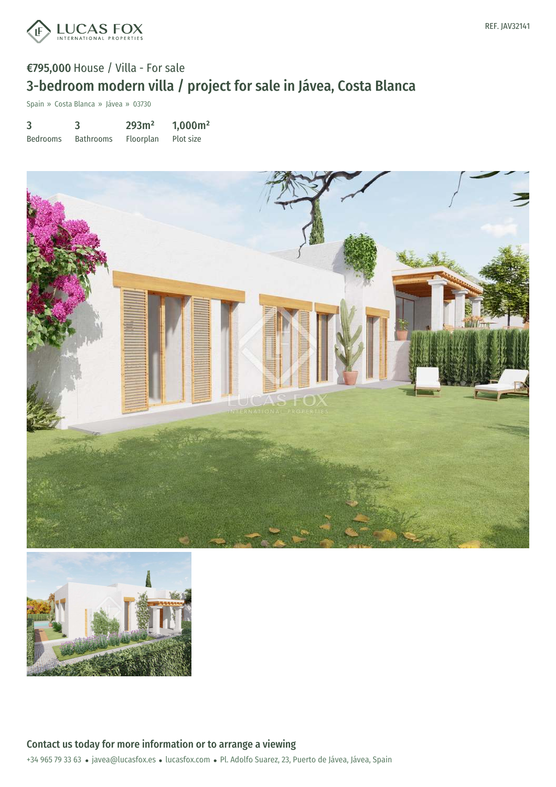

## €795,000 House / Villa - For sale 3-bedroom modern villa / project for sale in Jávea, Costa Blanca

Spain » Costa Blanca » Jávea » 03730

3 Bedrooms 3 Bathrooms 293m² Floorplan 1,000m² Plot size